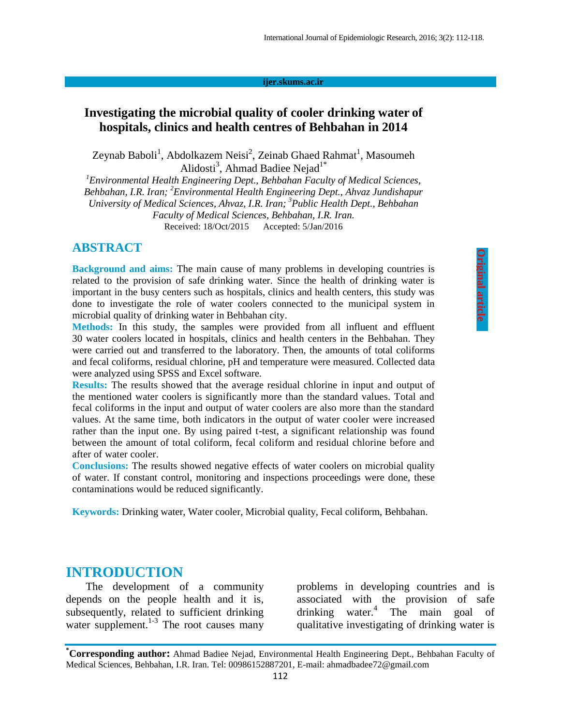#### **ijer.skums.ac.ir**

#### **Investigating the microbial quality of cooler drinking water of hospitals, clinics and health centres of Behbahan in 2014**

Zeynab Baboli<sup>1</sup>, Abdolkazem Neisi<sup>2</sup>, Zeinab Ghaed Rahmat<sup>1</sup>, Masoumeh Alidosti<sup>3</sup>, Ahmad Badiee Nejad<sup>1\*</sup>

*<sup>1</sup>Environmental Health Engineering Dept., Behbahan Faculty of Medical Sciences, Behbahan, I.R. Iran; <sup>2</sup>Environmental Health Engineering Dept., Ahvaz Jundishapur University of Medical Sciences, Ahvaz, I.R. Iran; 3 Public Health Dept., Behbahan Faculty of Medical Sciences, Behbahan, I.R. Iran.* Received: 18/Oct/2015 Accepted: 5/Jan/2016

#### **ABSTRACT**

**Background and aims:** The main cause of many problems in developing countries is related to the provision of safe drinking water. Since the health of drinking water is important in the busy centers such as hospitals, clinics and health centers, this study was done to investigate the role of water coolers connected to the municipal system in microbial quality of drinking water in Behbahan city.

**Methods:** In this study, the samples were provided from all influent and effluent 30 water coolers located in hospitals, clinics and health centers in the Behbahan. They were carried out and transferred to the laboratory. Then, the amounts of total coliforms and fecal coliforms, residual chlorine, pH and temperature were measured. Collected data were analyzed using SPSS and Excel software.

**Results:** The results showed that the average residual chlorine in input and output of the mentioned water coolers is significantly more than the standard values. Total and fecal coliforms in the input and output of water coolers are also more than the standard values. At the same time, both indicators in the output of water cooler were increased rather than the input one. By using paired t-test, a significant relationship was found between the amount of total coliform, fecal coliform and residual chlorine before and after of water cooler.

**Conclusions:** The results showed negative effects of water coolers on microbial quality of water. If constant control, monitoring and inspections proceedings were done, these contaminations would be reduced significantly.

**Keywords:** Drinking water, Water cooler, Microbial quality, Fecal coliform, Behbahan.

#### **INTRODUCTION**

The development of a community depends on the people health and it is, subsequently, related to sufficient drinking water supplement.<sup>1-3</sup> The root causes many problems in developing countries and is associated with the provision of safe drinking water. 4 The main goal of qualitative investigating of drinking water is

**<sup>\*</sup>Corresponding author:** Ahmad Badiee Nejad, Environmental Health Engineering Dept., Behbahan Faculty of Medical Sciences, Behbahan, I.R. Iran. Tel: 00986152887201, E-mail: ahmadbadee72@gmail.com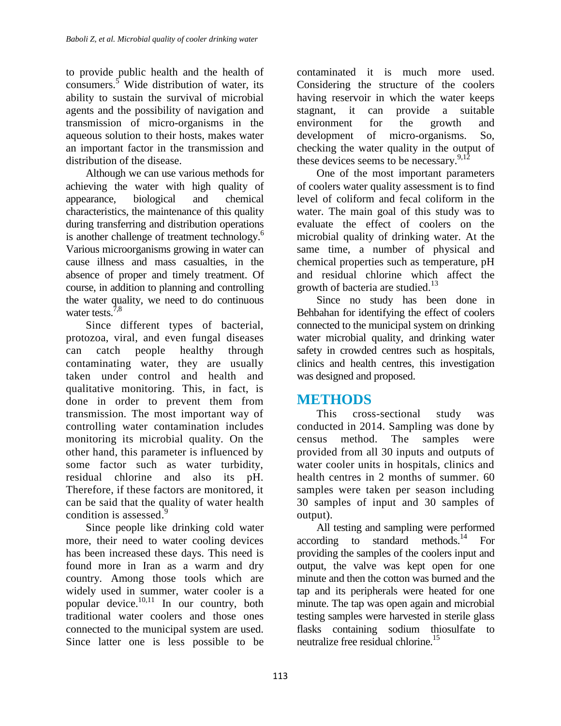to provide public health and the health of consumers.<sup>5</sup> Wide distribution of water, its ability to sustain the survival of microbial agents and the possibility of navigation and transmission of micro-organisms in the aqueous solution to their hosts, makes water an important factor in the transmission and distribution of the disease.

Although we can use various methods for achieving the water with high quality of appearance, biological and chemical characteristics, the maintenance of this quality during transferring and distribution operations is another challenge of treatment technology.<sup>6</sup> Various microorganisms growing in water can cause illness and mass casualties, in the absence of proper and timely treatment. Of course, in addition to planning and controlling the water quality, we need to do continuous water tests.<sup>7,8</sup>

Since different types of bacterial, protozoa, viral, and even fungal diseases can catch people healthy through contaminating water, they are usually taken under control and health and qualitative monitoring. This, in fact, is done in order to prevent them from transmission. The most important way of controlling water contamination includes monitoring its microbial quality. On the other hand, this parameter is influenced by some factor such as water turbidity, residual chlorine and also its pH. Therefore, if these factors are monitored, it can be said that the quality of water health condition is assessed.<sup>9</sup>

Since people like drinking cold water more, their need to water cooling devices has been increased these days. This need is found more in Iran as a warm and dry country. Among those tools which are widely used in summer, water cooler is a popular device. 10,11 In our country, both traditional water coolers and those ones connected to the municipal system are used. Since latter one is less possible to be

contaminated it is much more used. Considering the structure of the coolers having reservoir in which the water keeps stagnant, it can provide a suitable environment for the growth and development of micro-organisms. So, checking the water quality in the output of these devices seems to be necessary.<sup>9,12</sup>

One of the most important parameters of coolers water quality assessment is to find level of coliform and fecal coliform in the water. The main goal of this study was to evaluate the effect of coolers on the microbial quality of drinking water. At the same time, a number of physical and chemical properties such as temperature, pH and residual chlorine which affect the growth of bacteria are studied.<sup>13</sup>

Since no study has been done in Behbahan for identifying the effect of coolers connected to the municipal system on drinking water microbial quality, and drinking water safety in crowded centres such as hospitals, clinics and health centres, this investigation was designed and proposed.

# **METHODS**

This cross-sectional study was conducted in 2014. Sampling was done by census method. The samples were provided from all 30 inputs and outputs of water cooler units in hospitals, clinics and health centres in 2 months of summer. 60 samples were taken per season including 30 samples of input and 30 samples of output).

All testing and sampling were performed according to standard methods.<sup>14</sup> For providing the samples of the coolers input and output, the valve was kept open for one minute and then the cotton was burned and the tap and its peripherals were heated for one minute. The tap was open again and microbial testing samples were harvested in sterile glass flasks containing sodium thiosulfate to neutralize free residual chlorine.<sup>15</sup>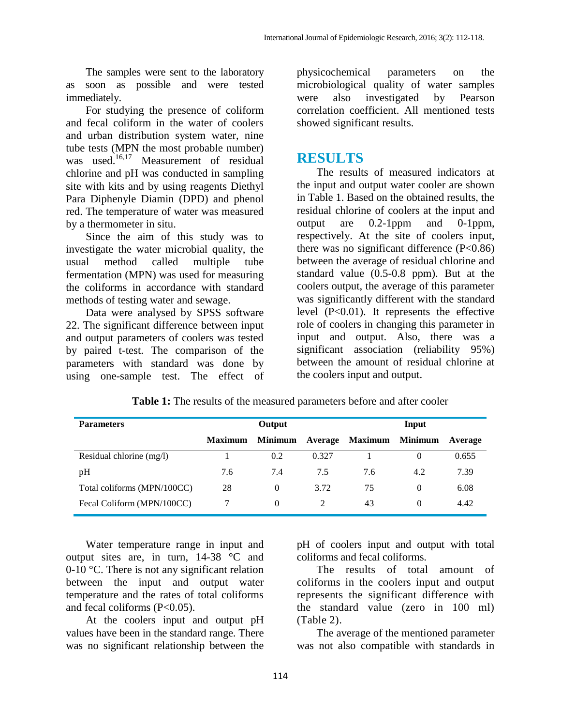The samples were sent to the laboratory as soon as possible and were tested immediately.

For studying the presence of coliform and fecal coliform in the water of coolers and urban distribution system water, nine tube tests (MPN the most probable number) was used. 16,17 Measurement of residual chlorine and pH was conducted in sampling site with kits and by using reagents Diethyl Para Diphenyle Diamin (DPD) and phenol red. The temperature of water was measured by a thermometer in situ.

Since the aim of this study was to investigate the water microbial quality, the usual method called multiple tube fermentation (MPN) was used for measuring the coliforms in accordance with standard methods of testing water and sewage.

Data were analysed by SPSS software 22. The significant difference between input and output parameters of coolers was tested by paired t-test. The comparison of the parameters with standard was done by using one-sample test. The effect of

physicochemical parameters on the microbiological quality of water samples were also investigated by Pearson correlation coefficient. All mentioned tests showed significant results.

#### **RESULTS**

The results of measured indicators at the input and output water cooler are shown in Table 1. Based on the obtained results, the residual chlorine of coolers at the input and output are 0.2-1ppm and 0-1ppm, respectively. At the site of coolers input, there was no significant difference  $(P<0.86)$ between the average of residual chlorine and standard value (0.5-0.8 ppm). But at the coolers output, the average of this parameter was significantly different with the standard level (P<0.01). It represents the effective role of coolers in changing this parameter in input and output. Also, there was a significant association (reliability 95%) between the amount of residual chlorine at the coolers input and output.

| <b>Parameters</b>           |                | Output           |                | Input           |     |         |
|-----------------------------|----------------|------------------|----------------|-----------------|-----|---------|
|                             | <b>Maximum</b> | Minimum          | <b>Average</b> | Maximum Minimum |     | Average |
| Residual chlorine (mg/l)    |                | 0.2              | 0.327          |                 | 0   | 0.655   |
| pH                          | 7.6            | 7.4              | 7.5            | 7.6             | 4.2 | 7.39    |
| Total coliforms (MPN/100CC) | 28             | $\left( \right)$ | 3.72           | 75              | 0   | 6.08    |
| Fecal Coliform (MPN/100CC)  |                | $\theta$         |                | 43              | 0   | 4.42    |

**Table 1:** The results of the measured parameters before and after cooler

Water temperature range in input and output sites are, in turn, 14-38 °C and 0-10 °C. There is not any significant relation between the input and output water temperature and the rates of total coliforms and fecal coliforms  $(P<0.05)$ .

At the coolers input and output pH values have been in the standard range. There was no significant relationship between the

pH of coolers input and output with total coliforms and fecal coliforms.

The results of total amount of coliforms in the coolers input and output represents the significant difference with the standard value (zero in 100 ml) (Table 2).

The average of the mentioned parameter was not also compatible with standards in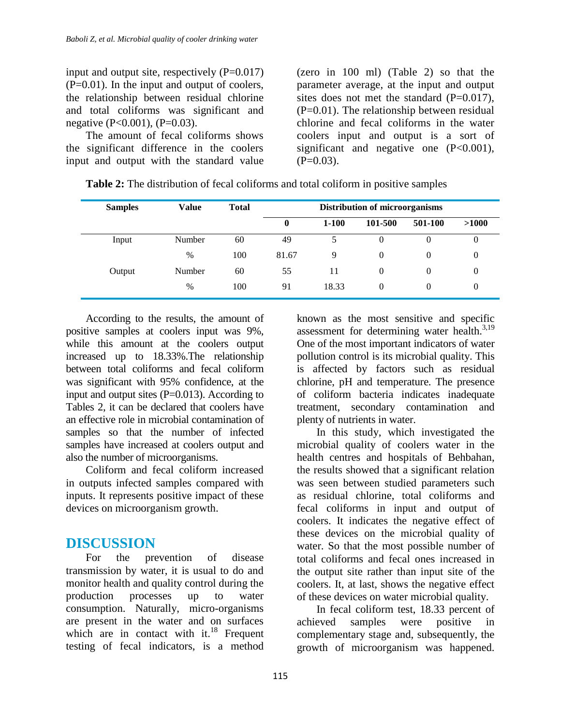input and output site, respectively  $(P=0.017)$ (P=0.01). In the input and output of coolers, the relationship between residual chlorine and total coliforms was significant and negative (P<0.001), (P=0.03).

The amount of fecal coliforms shows the significant difference in the coolers input and output with the standard value (zero in 100 ml) (Table 2) so that the parameter average, at the input and output sites does not met the standard  $(P=0.017)$ ,  $(P=0.01)$ . The relationship between residual chlorine and fecal coliforms in the water coolers input and output is a sort of significant and negative one  $(P<0.001)$ ,  $(P=0.03)$ .

| <b>Samples</b> | <b>Value</b> | <b>Total</b> | Distribution of microorganisms |           |          |         |       |
|----------------|--------------|--------------|--------------------------------|-----------|----------|---------|-------|
|                |              |              | $\bf{0}$                       | $1 - 100$ | 101-500  | 501-100 | >1000 |
| Input          | Number       | 60           | 49                             |           |          |         | 0     |
|                | $\%$         | 100          | 81.67                          | 9         | 0        | 0       | 0     |
| Output         | Number       | 60           | 55                             | 11        | 0        |         | 0     |
|                | $\%$         | 100          | 91                             | 18.33     | $\theta$ | 0       | 0     |

**Table 2:** The distribution of fecal coliforms and total coliform in positive samples

According to the results, the amount of positive samples at coolers input was 9%, while this amount at the coolers output increased up to 18.33%.The relationship between total coliforms and fecal coliform was significant with 95% confidence, at the input and output sites  $(P=0.013)$ . According to Tables 2, it can be declared that coolers have an effective role in microbial contamination of samples so that the number of infected samples have increased at coolers output and also the number of microorganisms.

Coliform and fecal coliform increased in outputs infected samples compared with inputs. It represents positive impact of these devices on microorganism growth.

## **DISCUSSION**

For the prevention of disease transmission by water, it is usual to do and monitor health and quality control during the production processes up to water consumption. Naturally, micro-organisms are present in the water and on surfaces which are in contact with it.<sup>18</sup> Frequent testing of fecal indicators, is a method

known as the most sensitive and specific assessment for determining water health.<sup>3,19</sup> One of the most important indicators of water pollution control is its microbial quality. This is affected by factors such as residual chlorine, pH and temperature. The presence of coliform bacteria indicates inadequate treatment, secondary contamination and plenty of nutrients in water.

In this study, which investigated the microbial quality of coolers water in the health centres and hospitals of Behbahan, the results showed that a significant relation was seen between studied parameters such as residual chlorine, total coliforms and fecal coliforms in input and output of coolers. It indicates the negative effect of these devices on the microbial quality of water. So that the most possible number of total coliforms and fecal ones increased in the output site rather than input site of the coolers. It, at last, shows the negative effect of these devices on water microbial quality.

In fecal coliform test, 18.33 percent of achieved samples were positive in complementary stage and, subsequently, the growth of microorganism was happened.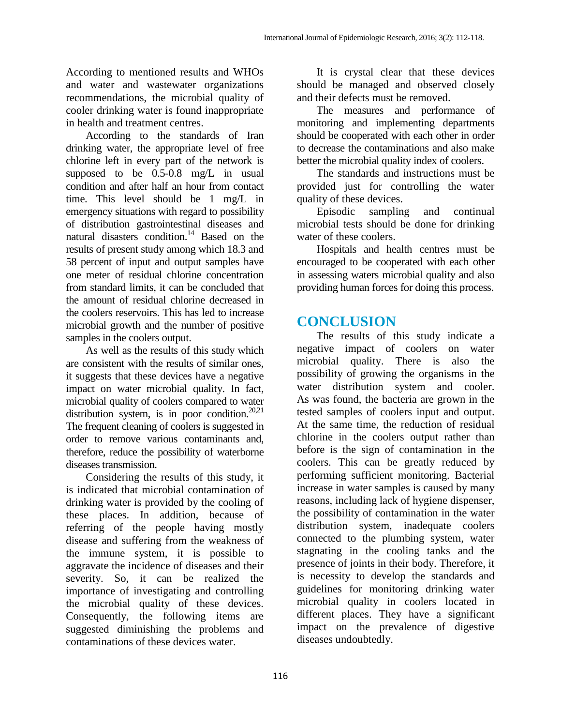According to mentioned results and WHOs and water and wastewater organizations recommendations, the microbial quality of cooler drinking water is found inappropriate in health and treatment centres.

According to the standards of Iran drinking water, the appropriate level of free chlorine left in every part of the network is supposed to be 0.5-0.8 mg/L in usual condition and after half an hour from contact time. This level should be 1 mg/L in emergency situations with regard to possibility of distribution gastrointestinal diseases and natural disasters condition. <sup>14</sup> Based on the results of present study among which 18.3 and 58 percent of input and output samples have one meter of residual chlorine concentration from standard limits, it can be concluded that the amount of residual chlorine decreased in the coolers reservoirs. This has led to increase microbial growth and the number of positive samples in the coolers output.

As well as the results of this study which are consistent with the results of similar ones, it suggests that these devices have a negative impact on water microbial quality. In fact, microbial quality of coolers compared to water distribution system, is in poor condition.<sup>20,21</sup> The frequent cleaning of coolers is suggested in order to remove various contaminants and, therefore, reduce the possibility of waterborne diseases transmission.

Considering the results of this study, it is indicated that microbial contamination of drinking water is provided by the cooling of these places. In addition, because of referring of the people having mostly disease and suffering from the weakness of the immune system, it is possible to aggravate the incidence of diseases and their severity. So, it can be realized the importance of investigating and controlling the microbial quality of these devices. Consequently, the following items are suggested diminishing the problems and contaminations of these devices water.

It is crystal clear that these devices should be managed and observed closely and their defects must be removed.

The measures and performance of monitoring and implementing departments should be cooperated with each other in order to decrease the contaminations and also make better the microbial quality index of coolers.

The standards and instructions must be provided just for controlling the water quality of these devices.

Episodic sampling and continual microbial tests should be done for drinking water of these coolers.

Hospitals and health centres must be encouraged to be cooperated with each other in assessing waters microbial quality and also providing human forces for doing this process.

## **CONCLUSION**

The results of this study indicate a negative impact of coolers on water microbial quality. There is also the possibility of growing the organisms in the water distribution system and cooler. As was found, the bacteria are grown in the tested samples of coolers input and output. At the same time, the reduction of residual chlorine in the coolers output rather than before is the sign of contamination in the coolers. This can be greatly reduced by performing sufficient monitoring. Bacterial increase in water samples is caused by many reasons, including lack of hygiene dispenser, the possibility of contamination in the water distribution system, inadequate coolers connected to the plumbing system, water stagnating in the cooling tanks and the presence of joints in their body. Therefore, it is necessity to develop the standards and guidelines for monitoring drinking water microbial quality in coolers located in different places. They have a significant impact on the prevalence of digestive diseases undoubtedly.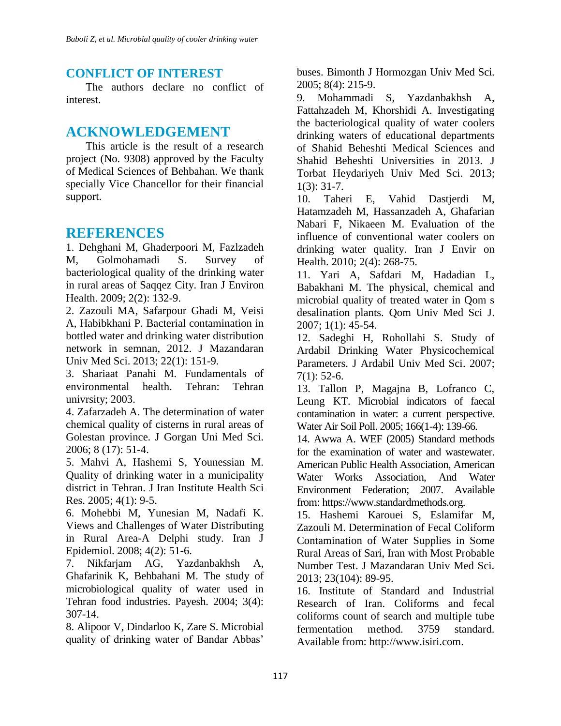### **CONFLICT OF INTEREST**

The authors declare no conflict of interest.

# **ACKNOWLEDGEMENT**

This article is the result of a research project (No. 9308) approved by the Faculty of Medical Sciences of Behbahan. We thank specially Vice Chancellor for their financial support.

# **REFERENCES**

1. Dehghani M, Ghaderpoori M, Fazlzadeh M, Golmohamadi S. Survey of bacteriological quality of the drinking water in rural areas of Saqqez City. Iran J Environ Health. 2009; 2(2): 132-9.

2. Zazouli MA, Safarpour Ghadi M, Veisi A, Habibkhani P. Bacterial contamination in bottled water and drinking water distribution network in semnan, 2012. J Mazandaran Univ Med Sci. 2013; 22(1): 151-9.

3. Shariaat Panahi M. Fundamentals of environmental health. Tehran: Tehran univrsity; 2003.

4. Zafarzadeh A. The determination of water chemical quality of cisterns in rural areas of Golestan province. J Gorgan Uni Med Sci. 2006; 8 (17): 51-4.

5. Mahvi A, Hashemi S, Younessian M. Quality of drinking water in a municipality district in Tehran. J Iran Institute Health Sci Res. 2005; 4(1): 9-5.

6. Mohebbi M, Yunesian M, Nadafi K. Views and Challenges of Water Distributing in Rural Area-A Delphi study. Iran J Epidemiol. 2008; 4(2): 51-6.

7. Nikfarjam AG, Yazdanbakhsh A, Ghafarinik K, Behbahani M. The study of microbiological quality of water used in Tehran food industries. Payesh. 2004; 3(4): 307-14.

8. Alipoor V, Dindarloo K, Zare S. Microbial quality of drinking water of Bandar Abbas'

buses. Bimonth J Hormozgan Univ Med Sci. 2005; 8(4): 215-9.

9. Mohammadi S, Yazdanbakhsh A, Fattahzadeh M, Khorshidi A. Investigating the bacteriological quality of water coolers drinking waters of educational departments of Shahid Beheshti Medical Sciences and Shahid Beheshti Universities in 2013. J Torbat Heydariyeh Univ Med Sci. 2013; 1(3): 31-7.

10. Taheri E, Vahid Dastjerdi M, Hatamzadeh M, Hassanzadeh A, Ghafarian Nabari F, Nikaeen M. Evaluation of the influence of conventional water coolers on drinking water quality. Iran J Envir on Health. 2010; 2(4): 268-75.

11. Yari A, Safdari M, Hadadian L, Babakhani M. The physical, chemical and microbial quality of treated water in Qom s desalination plants. Qom Univ Med Sci J. 2007; 1(1): 45-54.

12. Sadeghi H, Rohollahi S. Study of Ardabil Drinking Water Physicochemical Parameters. J Ardabil Univ Med Sci. 2007;  $7(1): 52-6.$ 

13. Tallon P, Magajna B, Lofranco C, Leung KT. Microbial indicators of faecal contamination in water: a current perspective. Water Air Soil Poll. 2005; 166(1-4): 139-66.

14. Awwa A. WEF (2005) Standard methods for the examination of water and wastewater. American Public Health Association, American Water Works Association, And Water Environment Federation; 2007. Available from: https://www.standardmethods.org.

15. Hashemi Karouei S, Eslamifar M, Zazouli M. Determination of Fecal Coliform Contamination of Water Supplies in Some Rural Areas of Sari, Iran with Most Probable Number Test. J Mazandaran Univ Med Sci. 2013; 23(104): 89-95.

16. Institute of Standard and Industrial Research of Iran. Coliforms and fecal coliforms count of search and multiple tube fermentation method. 3759 standard. Available from: http://www.isiri.com.